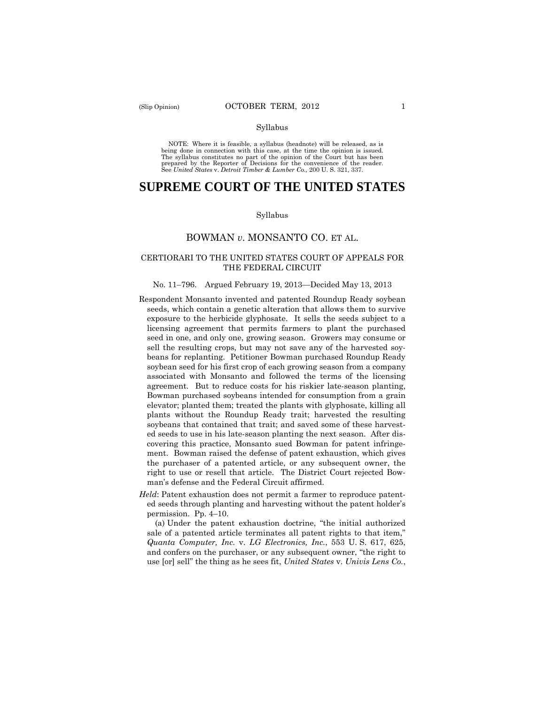#### Syllabus

 NOTE: Where it is feasible, a syllabus (headnote) will be released, as is being done in connection with this case, at the time the opinion is issued. The syllabus constitutes no part of the opinion of the Court but has been<br>prepared by the Reporter of Decisions for the convenience of the reader.<br>See United States v. Detroit Timber & Lumber Co., 200 U.S. 321, 337.

# **SUPREME COURT OF THE UNITED STATES**

#### Syllabus

# BOWMAN *v*. MONSANTO CO. ET AL.

# CERTIORARI TO THE UNITED STATES COURT OF APPEALS FOR THE FEDERAL CIRCUIT

#### No. 11–796. Argued February 19, 2013—Decided May 13, 2013

- Respondent Monsanto invented and patented Roundup Ready soybean seeds, which contain a genetic alteration that allows them to survive exposure to the herbicide glyphosate. It sells the seeds subject to a licensing agreement that permits farmers to plant the purchased seed in one, and only one, growing season. Growers may consume or sell the resulting crops, but may not save any of the harvested soybeans for replanting. Petitioner Bowman purchased Roundup Ready soybean seed for his first crop of each growing season from a company associated with Monsanto and followed the terms of the licensing agreement. But to reduce costs for his riskier late-season planting, Bowman purchased soybeans intended for consumption from a grain elevator; planted them; treated the plants with glyphosate, killing all plants without the Roundup Ready trait; harvested the resulting soybeans that contained that trait; and saved some of these harvested seeds to use in his late-season planting the next season. After discovering this practice, Monsanto sued Bowman for patent infringement. Bowman raised the defense of patent exhaustion, which gives the purchaser of a patented article, or any subsequent owner, the right to use or resell that article. The District Court rejected Bowman's defense and the Federal Circuit affirmed.
- *Held*: Patent exhaustion does not permit a farmer to reproduce patented seeds through planting and harvesting without the patent holder's permission. Pp. 4–10.

(a) Under the patent exhaustion doctrine, "the initial authorized sale of a patented article terminates all patent rights to that item," *Quanta Computer, Inc.* v. *LG Electronics, Inc.*, 553 U. S. 617, 625, and confers on the purchaser, or any subsequent owner, "the right to use [or] sell" the thing as he sees fit, *United States* v. *Univis Lens Co.*,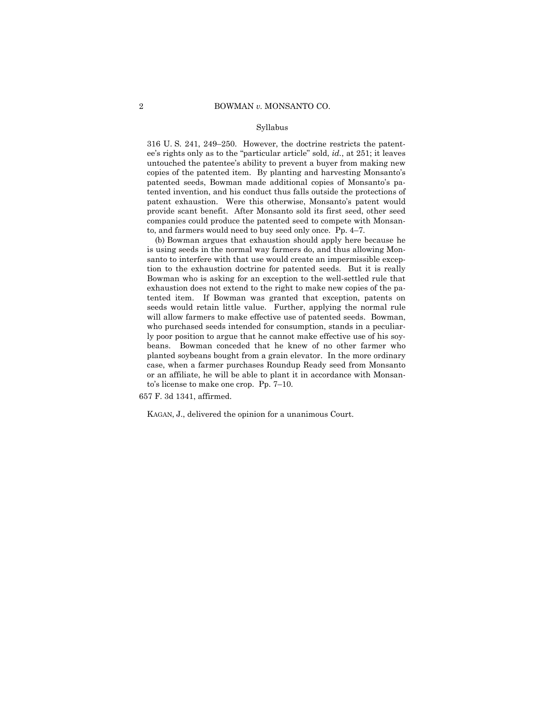#### Syllabus

316 U. S. 241, 249–250. However, the doctrine restricts the patentee's rights only as to the "particular article" sold, *id.*, at 251; it leaves untouched the patentee's ability to prevent a buyer from making new copies of the patented item. By planting and harvesting Monsanto's patented seeds, Bowman made additional copies of Monsanto's patented invention, and his conduct thus falls outside the protections of patent exhaustion. Were this otherwise, Monsanto's patent would provide scant benefit. After Monsanto sold its first seed, other seed companies could produce the patented seed to compete with Monsanto, and farmers would need to buy seed only once. Pp. 4–7.

(b) Bowman argues that exhaustion should apply here because he is using seeds in the normal way farmers do, and thus allowing Monsanto to interfere with that use would create an impermissible exception to the exhaustion doctrine for patented seeds. But it is really Bowman who is asking for an exception to the well-settled rule that exhaustion does not extend to the right to make new copies of the patented item. If Bowman was granted that exception, patents on seeds would retain little value. Further, applying the normal rule will allow farmers to make effective use of patented seeds. Bowman, who purchased seeds intended for consumption, stands in a peculiarly poor position to argue that he cannot make effective use of his soybeans. Bowman conceded that he knew of no other farmer who planted soybeans bought from a grain elevator. In the more ordinary case, when a farmer purchases Roundup Ready seed from Monsanto or an affiliate, he will be able to plant it in accordance with Monsanto's license to make one crop. Pp. 7–10.

657 F. 3d 1341, affirmed.

KAGAN, J., delivered the opinion for a unanimous Court.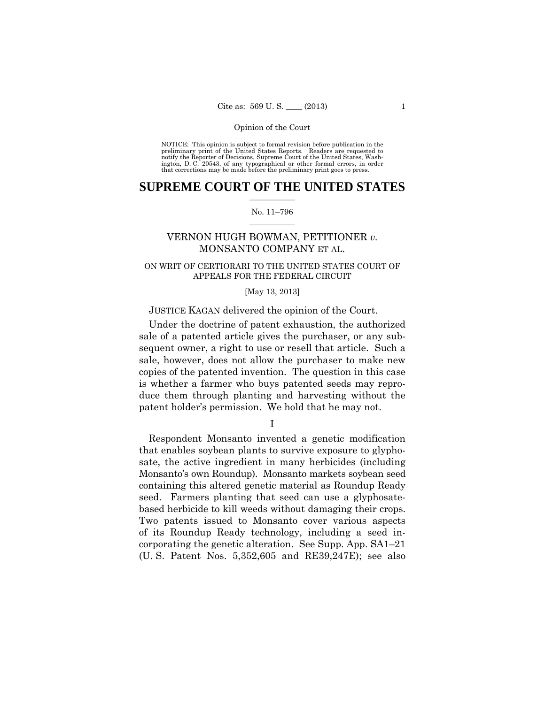preliminary print of the United States Reports. Readers are requested to notify the Reporter of Decisions, Supreme Court of the United States, Wash- ington, D. C. 20543, of any typographical or other formal errors, in order that corrections may be made before the preliminary print goes to press. NOTICE: This opinion is subject to formal revision before publication in the

# $\frac{1}{2}$  , where  $\frac{1}{2}$ **SUPREME COURT OF THE UNITED STATES**

# $\frac{1}{2}$  ,  $\frac{1}{2}$  ,  $\frac{1}{2}$  ,  $\frac{1}{2}$  ,  $\frac{1}{2}$  ,  $\frac{1}{2}$ No. 11–796

# VERNON HUGH BOWMAN, PETITIONER *v.*  MONSANTO COMPANY ET AL.

# ON WRIT OF CERTIORARI TO THE UNITED STATES COURT OF APPEALS FOR THE FEDERAL CIRCUIT

#### [May 13, 2013]

# JUSTICE KAGAN delivered the opinion of the Court.

Under the doctrine of patent exhaustion, the authorized sale of a patented article gives the purchaser, or any subsequent owner, a right to use or resell that article. Such a sale, however, does not allow the purchaser to make new copies of the patented invention. The question in this case is whether a farmer who buys patented seeds may reproduce them through planting and harvesting without the patent holder's permission. We hold that he may not.

I

Respondent Monsanto invented a genetic modification that enables soybean plants to survive exposure to glyphosate, the active ingredient in many herbicides (including Monsanto's own Roundup). Monsanto markets soybean seed containing this altered genetic material as Roundup Ready seed. Farmers planting that seed can use a glyphosatebased herbicide to kill weeds without damaging their crops. Two patents issued to Monsanto cover various aspects of its Roundup Ready technology, including a seed incorporating the genetic alteration. See Supp. App. SA1–21 (U. S. Patent Nos. 5,352,605 and RE39,247E); see also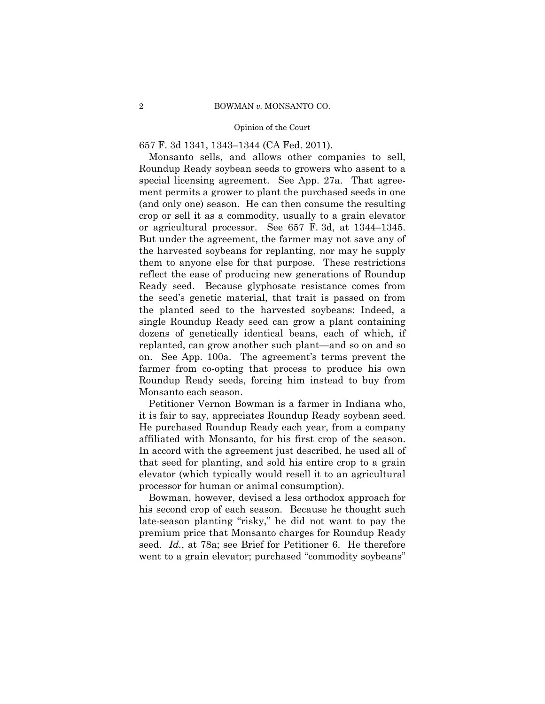657 F. 3d 1341, 1343–1344 (CA Fed. 2011).

 special licensing agreement. See App. 27a. That agreeor agricultural processor. See 657 F. 3d, at 1344–1345. Monsanto sells, and allows other companies to sell, Roundup Ready soybean seeds to growers who assent to a ment permits a grower to plant the purchased seeds in one (and only one) season. He can then consume the resulting crop or sell it as a commodity, usually to a grain elevator But under the agreement, the farmer may not save any of the harvested soybeans for replanting, nor may he supply them to anyone else for that purpose. These restrictions reflect the ease of producing new generations of Roundup Ready seed. Because glyphosate resistance comes from the seed's genetic material, that trait is passed on from the planted seed to the harvested soybeans: Indeed, a single Roundup Ready seed can grow a plant containing dozens of genetically identical beans, each of which, if replanted, can grow another such plant—and so on and so on. See App. 100a. The agreement's terms prevent the farmer from co-opting that process to produce his own Roundup Ready seeds, forcing him instead to buy from Monsanto each season.

Petitioner Vernon Bowman is a farmer in Indiana who, it is fair to say, appreciates Roundup Ready soybean seed. He purchased Roundup Ready each year, from a company affiliated with Monsanto, for his first crop of the season. In accord with the agreement just described, he used all of that seed for planting, and sold his entire crop to a grain elevator (which typically would resell it to an agricultural processor for human or animal consumption).

 seed. *Id.*, at 78a; see Brief for Petitioner 6. He therefore Bowman, however, devised a less orthodox approach for his second crop of each season. Because he thought such late-season planting "risky," he did not want to pay the premium price that Monsanto charges for Roundup Ready went to a grain elevator; purchased "commodity soybeans"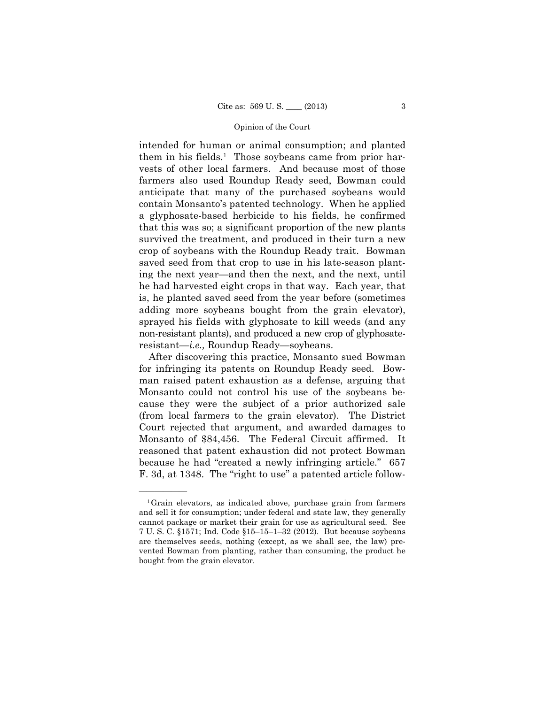intended for human or animal consumption; and planted them in his fields.1 Those soybeans came from prior harvests of other local farmers. And because most of those farmers also used Roundup Ready seed, Bowman could anticipate that many of the purchased soybeans would contain Monsanto's patented technology. When he applied a glyphosate-based herbicide to his fields, he confirmed that this was so; a significant proportion of the new plants survived the treatment, and produced in their turn a new crop of soybeans with the Roundup Ready trait. Bowman saved seed from that crop to use in his late-season planting the next year—and then the next, and the next, until he had harvested eight crops in that way. Each year, that is, he planted saved seed from the year before (sometimes adding more soybeans bought from the grain elevator), sprayed his fields with glyphosate to kill weeds (and any non-resistant plants), and produced a new crop of glyphosateresistant—*i.e.,* Roundup Ready—soybeans.

After discovering this practice, Monsanto sued Bowman for infringing its patents on Roundup Ready seed. Bowman raised patent exhaustion as a defense, arguing that Monsanto could not control his use of the soybeans because they were the subject of a prior authorized sale (from local farmers to the grain elevator). The District Court rejected that argument, and awarded damages to Monsanto of \$84,456. The Federal Circuit affirmed. It reasoned that patent exhaustion did not protect Bowman because he had "created a newly infringing article." 657 F. 3d, at 1348. The "right to use" a patented article follow-

——————

<sup>1</sup>Grain elevators, as indicated above, purchase grain from farmers and sell it for consumption; under federal and state law, they generally cannot package or market their grain for use as agricultural seed. See 7 U. S. C. §1571; Ind. Code §15–15–1–32 (2012). But because soybeans are themselves seeds, nothing (except, as we shall see, the law) prevented Bowman from planting, rather than consuming, the product he bought from the grain elevator.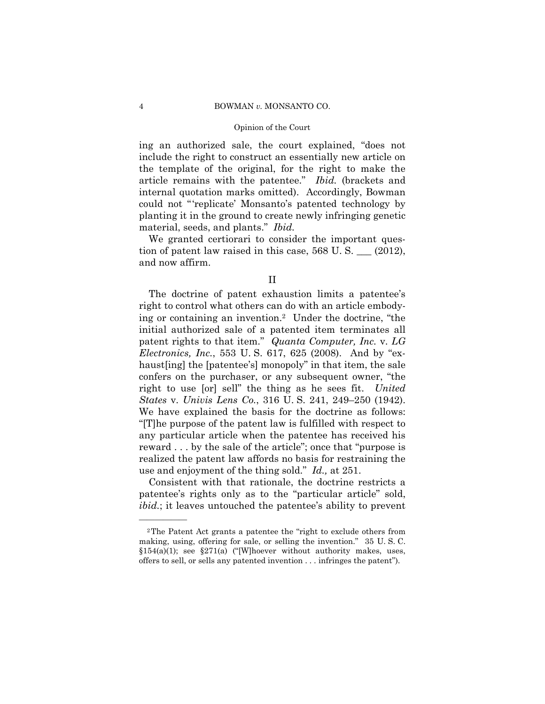internal quotation marks omitted). Accordingly, Bowman ing an authorized sale, the court explained, "does not include the right to construct an essentially new article on the template of the original, for the right to make the article remains with the patentee." *Ibid.* (brackets and could not "'replicate' Monsanto's patented technology by planting it in the ground to create newly infringing genetic material, seeds, and plants." *Ibid.* 

We granted certiorari to consider the important question of patent law raised in this case, 568 U. S. \_\_\_ (2012), and now affirm.

 ing or containing an invention.2 Under the doctrine, "the The doctrine of patent exhaustion limits a patentee's right to control what others can do with an article embodyinitial authorized sale of a patented item terminates all patent rights to that item." *Quanta Computer, Inc.* v. *LG Electronics, Inc.*, 553 U. S. 617, 625 (2008). And by "exhaust[ing] the [patentee's] monopoly" in that item, the sale confers on the purchaser, or any subsequent owner, "the right to use [or] sell" the thing as he sees fit. *United States* v. *Univis Lens Co.*, 316 U. S. 241, 249–250 (1942). We have explained the basis for the doctrine as follows: "[T]he purpose of the patent law is fulfilled with respect to any particular article when the patentee has received his reward . . . by the sale of the article"; once that "purpose is realized the patent law affords no basis for restraining the use and enjoyment of the thing sold." *Id.,* at 251.

Consistent with that rationale, the doctrine restricts a patentee's rights only as to the "particular article" sold, *ibid.*; it leaves untouched the patentee's ability to prevent

——————

II

<sup>2</sup>The Patent Act grants a patentee the "right to exclude others from making, using, offering for sale, or selling the invention." 35 U. S. C.  $$154(a)(1);$  see  $$271(a)$  ('[W]hoever without authority makes, uses, offers to sell, or sells any patented invention . . . infringes the patent").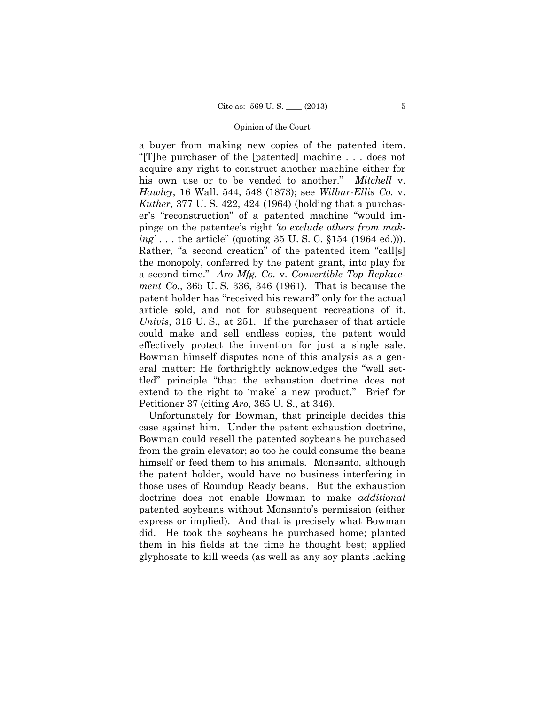a buyer from making new copies of the patented item. "[T]he purchaser of the [patented] machine . . . does not acquire any right to construct another machine either for his own use or to be vended to another." *Mitchell* v. *Hawley*, 16 Wall. 544, 548 (1873); see *Wilbur-Ellis Co.* v. *Kuther*, 377 U. S. 422, 424 (1964) (holding that a purchaser's "reconstruction" of a patented machine "would impinge on the patentee's right *'to exclude others from making'* . . . the article" (quoting 35 U. S. C. §154 (1964 ed.))). Rather, "a second creation" of the patented item "call[s] the monopoly, conferred by the patent grant, into play for a second time." *Aro Mfg. Co.* v. *Convertible Top Replacement Co.*, 365 U. S. 336, 346 (1961). That is because the patent holder has "received his reward" only for the actual article sold, and not for subsequent recreations of it. *Univis*, 316 U. S., at 251. If the purchaser of that article could make and sell endless copies, the patent would effectively protect the invention for just a single sale. Bowman himself disputes none of this analysis as a general matter: He forthrightly acknowledges the "well settled" principle "that the exhaustion doctrine does not extend to the right to 'make' a new product." Brief for Petitioner 37 (citing *Aro*, 365 U. S., at 346).

Unfortunately for Bowman, that principle decides this case against him. Under the patent exhaustion doctrine, Bowman could resell the patented soybeans he purchased from the grain elevator; so too he could consume the beans himself or feed them to his animals. Monsanto, although the patent holder, would have no business interfering in those uses of Roundup Ready beans. But the exhaustion doctrine does not enable Bowman to make *additional*  patented soybeans without Monsanto's permission (either express or implied). And that is precisely what Bowman did. He took the soybeans he purchased home; planted them in his fields at the time he thought best; applied glyphosate to kill weeds (as well as any soy plants lacking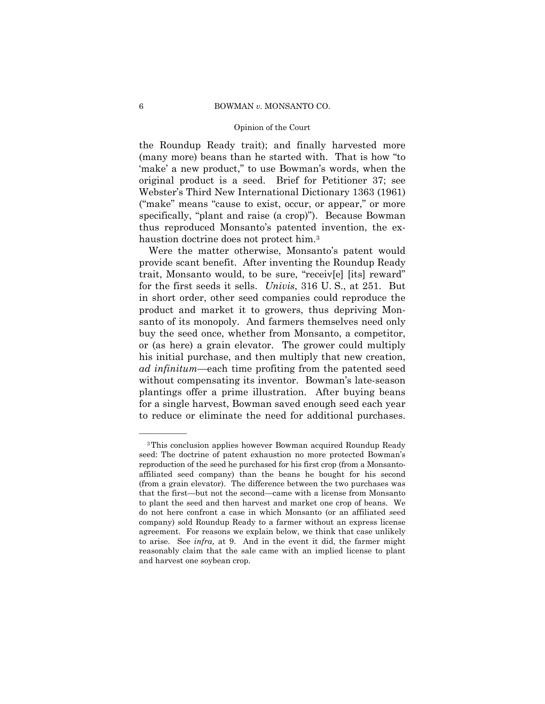the Roundup Ready trait); and finally harvested more (many more) beans than he started with. That is how "to 'make' a new product," to use Bowman's words, when the original product is a seed. Brief for Petitioner 37; see Webster's Third New International Dictionary 1363 (1961) ("make" means "cause to exist, occur, or appear," or more specifically, "plant and raise (a crop)"). Because Bowman thus reproduced Monsanto's patented invention, the exhaustion doctrine does not protect him.3

Were the matter otherwise, Monsanto's patent would provide scant benefit. After inventing the Roundup Ready trait, Monsanto would, to be sure, "receiv[e] [its] reward" for the first seeds it sells. *Univis*, 316 U. S., at 251. But in short order, other seed companies could reproduce the product and market it to growers, thus depriving Monsanto of its monopoly. And farmers themselves need only buy the seed once, whether from Monsanto, a competitor, or (as here) a grain elevator. The grower could multiply his initial purchase, and then multiply that new creation, *ad infinitum*—each time profiting from the patented seed without compensating its inventor. Bowman's late-season plantings offer a prime illustration. After buying beans for a single harvest, Bowman saved enough seed each year to reduce or eliminate the need for additional purchases.

<sup>3</sup>This conclusion applies however Bowman acquired Roundup Ready seed: The doctrine of patent exhaustion no more protected Bowman's reproduction of the seed he purchased for his first crop (from a Monsantoaffiliated seed company) than the beans he bought for his second (from a grain elevator). The difference between the two purchases was that the first—but not the second—came with a license from Monsanto to plant the seed and then harvest and market one crop of beans. We do not here confront a case in which Monsanto (or an affiliated seed company) sold Roundup Ready to a farmer without an express license agreement. For reasons we explain below, we think that case unlikely to arise. See *infra,* at 9. And in the event it did, the farmer might reasonably claim that the sale came with an implied license to plant and harvest one soybean crop.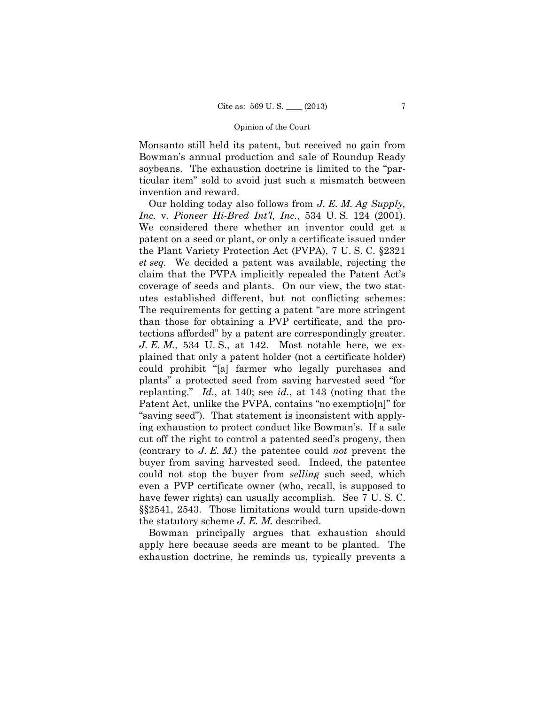Monsanto still held its patent, but received no gain from Bowman's annual production and sale of Roundup Ready soybeans. The exhaustion doctrine is limited to the "particular item" sold to avoid just such a mismatch between invention and reward.

Our holding today also follows from *J. E. M. Ag Supply, Inc.* v. *Pioneer Hi-Bred Int'l, Inc.*, 534 U. S. 124 (2001). We considered there whether an inventor could get a patent on a seed or plant, or only a certificate issued under the Plant Variety Protection Act (PVPA), 7 U. S. C. §2321 *et seq.* We decided a patent was available, rejecting the claim that the PVPA implicitly repealed the Patent Act's coverage of seeds and plants. On our view, the two statutes established different, but not conflicting schemes: The requirements for getting a patent "are more stringent than those for obtaining a PVP certificate, and the protections afforded" by a patent are correspondingly greater. *J. E. M.*, 534 U. S., at 142. Most notable here, we explained that only a patent holder (not a certificate holder) could prohibit "[a] farmer who legally purchases and plants" a protected seed from saving harvested seed "for replanting." *Id.*, at 140; see *id.*, at 143 (noting that the Patent Act, unlike the PVPA, contains "no exemptio[n]" for "saving seed"). That statement is inconsistent with applying exhaustion to protect conduct like Bowman's. If a sale cut off the right to control a patented seed's progeny, then (contrary to *J. E. M.*) the patentee could *not* prevent the buyer from saving harvested seed. Indeed, the patentee could not stop the buyer from *selling* such seed, which even a PVP certificate owner (who, recall, is supposed to have fewer rights) can usually accomplish. See 7 U. S. C. §§2541, 2543. Those limitations would turn upside-down the statutory scheme *J. E. M.* described.

Bowman principally argues that exhaustion should apply here because seeds are meant to be planted. The exhaustion doctrine, he reminds us, typically prevents a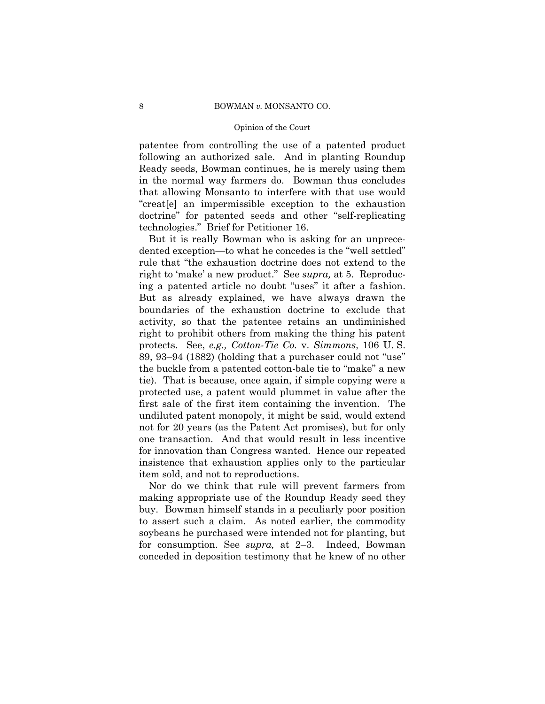patentee from controlling the use of a patented product following an authorized sale. And in planting Roundup Ready seeds, Bowman continues, he is merely using them in the normal way farmers do. Bowman thus concludes that allowing Monsanto to interfere with that use would "creat[e] an impermissible exception to the exhaustion doctrine" for patented seeds and other "self-replicating technologies." Brief for Petitioner 16.

 ing a patented article no doubt "uses" it after a fashion. But it is really Bowman who is asking for an unprecedented exception—to what he concedes is the "well settled" rule that "the exhaustion doctrine does not extend to the right to 'make' a new product." See *supra,* at 5. Reproduc-But as already explained, we have always drawn the boundaries of the exhaustion doctrine to exclude that activity, so that the patentee retains an undiminished right to prohibit others from making the thing his patent protects. See, *e.g., Cotton-Tie Co.* v. *Simmons*, 106 U. S. 89, 93–94 (1882) (holding that a purchaser could not "use" the buckle from a patented cotton-bale tie to "make" a new tie). That is because, once again, if simple copying were a protected use, a patent would plummet in value after the first sale of the first item containing the invention. The undiluted patent monopoly, it might be said, would extend not for 20 years (as the Patent Act promises), but for only one transaction. And that would result in less incentive for innovation than Congress wanted. Hence our repeated insistence that exhaustion applies only to the particular item sold, and not to reproductions.

Nor do we think that rule will prevent farmers from making appropriate use of the Roundup Ready seed they buy. Bowman himself stands in a peculiarly poor position to assert such a claim. As noted earlier, the commodity soybeans he purchased were intended not for planting, but for consumption. See *supra,* at 2–3. Indeed, Bowman conceded in deposition testimony that he knew of no other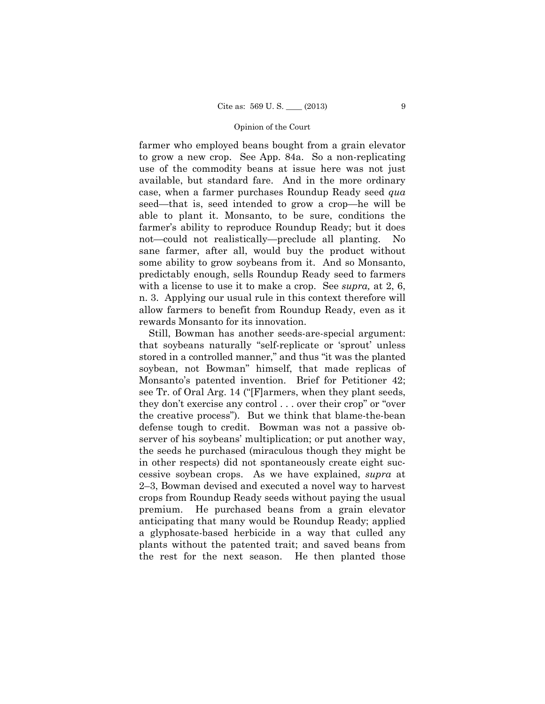farmer who employed beans bought from a grain elevator to grow a new crop. See App. 84a. So a non-replicating use of the commodity beans at issue here was not just available, but standard fare. And in the more ordinary case, when a farmer purchases Roundup Ready seed *qua* seed—that is, seed intended to grow a crop—he will be able to plant it. Monsanto, to be sure, conditions the farmer's ability to reproduce Roundup Ready; but it does not—could not realistically—preclude all planting. No sane farmer, after all, would buy the product without some ability to grow soybeans from it. And so Monsanto, predictably enough, sells Roundup Ready seed to farmers with a license to use it to make a crop. See *supra,* at 2, 6, n. 3. Applying our usual rule in this context therefore will allow farmers to benefit from Roundup Ready, even as it rewards Monsanto for its innovation.

Still, Bowman has another seeds-are-special argument: that soybeans naturally "self-replicate or 'sprout' unless stored in a controlled manner," and thus "it was the planted soybean, not Bowman" himself, that made replicas of Monsanto's patented invention. Brief for Petitioner 42; see Tr. of Oral Arg. 14 ("[F]armers, when they plant seeds, they don't exercise any control . . . over their crop" or "over the creative process"). But we think that blame-the-bean defense tough to credit. Bowman was not a passive observer of his soybeans' multiplication; or put another way, the seeds he purchased (miraculous though they might be in other respects) did not spontaneously create eight successive soybean crops. As we have explained, *supra* at 2–3, Bowman devised and executed a novel way to harvest crops from Roundup Ready seeds without paying the usual premium. He purchased beans from a grain elevator anticipating that many would be Roundup Ready; applied a glyphosate-based herbicide in a way that culled any plants without the patented trait; and saved beans from the rest for the next season. He then planted those